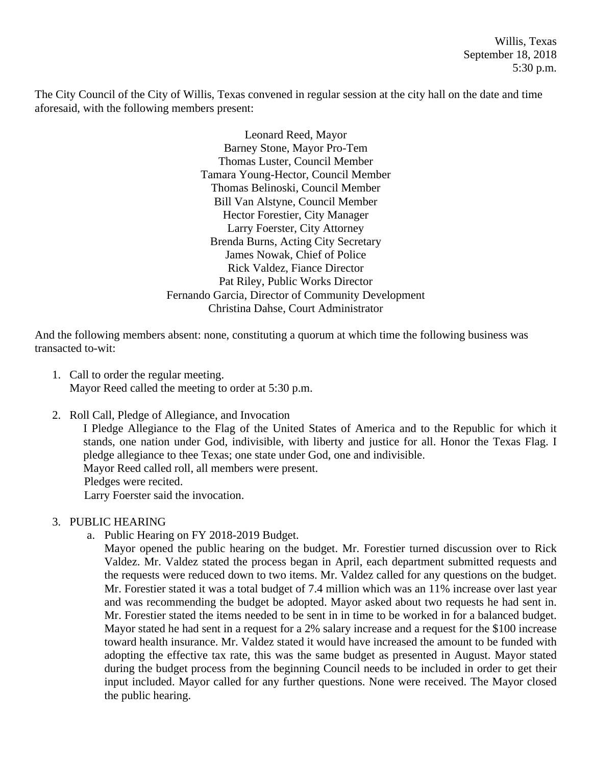Willis, Texas September 18, 2018 5:30 p.m.

The City Council of the City of Willis, Texas convened in regular session at the city hall on the date and time aforesaid, with the following members present:

> Leonard Reed, Mayor Barney Stone, Mayor Pro-Tem Thomas Luster, Council Member Tamara Young-Hector, Council Member Thomas Belinoski, Council Member Bill Van Alstyne, Council Member Hector Forestier, City Manager Larry Foerster, City Attorney Brenda Burns, Acting City Secretary James Nowak, Chief of Police Rick Valdez, Fiance Director Pat Riley, Public Works Director Fernando Garcia, Director of Community Development Christina Dahse, Court Administrator

And the following members absent: none, constituting a quorum at which time the following business was transacted to-wit:

- 1. Call to order the regular meeting. Mayor Reed called the meeting to order at 5:30 p.m.
- 2. Roll Call, Pledge of Allegiance, and Invocation

I Pledge Allegiance to the Flag of the United States of America and to the Republic for which it stands, one nation under God, indivisible, with liberty and justice for all. Honor the Texas Flag. I pledge allegiance to thee Texas; one state under God, one and indivisible. Mayor Reed called roll, all members were present.

Pledges were recited.

Larry Foerster said the invocation.

### 3. PUBLIC HEARING

a. Public Hearing on FY 2018-2019 Budget.

Mayor opened the public hearing on the budget. Mr. Forestier turned discussion over to Rick Valdez. Mr. Valdez stated the process began in April, each department submitted requests and the requests were reduced down to two items. Mr. Valdez called for any questions on the budget. Mr. Forestier stated it was a total budget of 7.4 million which was an 11% increase over last year and was recommending the budget be adopted. Mayor asked about two requests he had sent in. Mr. Forestier stated the items needed to be sent in in time to be worked in for a balanced budget. Mayor stated he had sent in a request for a 2% salary increase and a request for the \$100 increase toward health insurance. Mr. Valdez stated it would have increased the amount to be funded with adopting the effective tax rate, this was the same budget as presented in August. Mayor stated during the budget process from the beginning Council needs to be included in order to get their input included. Mayor called for any further questions. None were received. The Mayor closed the public hearing.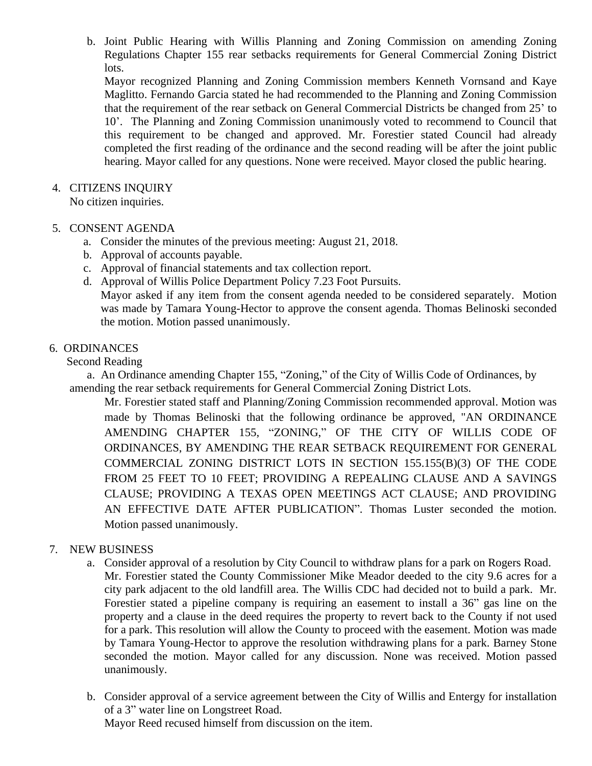b. Joint Public Hearing with Willis Planning and Zoning Commission on amending Zoning Regulations Chapter 155 rear setbacks requirements for General Commercial Zoning District lots.

Mayor recognized Planning and Zoning Commission members Kenneth Vornsand and Kaye Maglitto. Fernando Garcia stated he had recommended to the Planning and Zoning Commission that the requirement of the rear setback on General Commercial Districts be changed from 25' to 10'. The Planning and Zoning Commission unanimously voted to recommend to Council that this requirement to be changed and approved. Mr. Forestier stated Council had already completed the first reading of the ordinance and the second reading will be after the joint public hearing. Mayor called for any questions. None were received. Mayor closed the public hearing.

4. CITIZENS INQUIRY

No citizen inquiries.

## 5. CONSENT AGENDA

- a. Consider the minutes of the previous meeting: August 21, 2018.
- b. Approval of accounts payable.
- c. Approval of financial statements and tax collection report.
- d. Approval of Willis Police Department Policy 7.23 Foot Pursuits. Mayor asked if any item from the consent agenda needed to be considered separately. Motion was made by Tamara Young-Hector to approve the consent agenda. Thomas Belinoski seconded the motion. Motion passed unanimously.

## 6. ORDINANCES

Second Reading

 a. An Ordinance amending Chapter 155, "Zoning," of the City of Willis Code of Ordinances, by amending the rear setback requirements for General Commercial Zoning District Lots.

Mr. Forestier stated staff and Planning/Zoning Commission recommended approval. Motion was made by Thomas Belinoski that the following ordinance be approved, "AN ORDINANCE AMENDING CHAPTER 155, "ZONING," OF THE CITY OF WILLIS CODE OF ORDINANCES, BY AMENDING THE REAR SETBACK REQUIREMENT FOR GENERAL COMMERCIAL ZONING DISTRICT LOTS IN SECTION 155.155(B)(3) OF THE CODE FROM 25 FEET TO 10 FEET; PROVIDING A REPEALING CLAUSE AND A SAVINGS CLAUSE; PROVIDING A TEXAS OPEN MEETINGS ACT CLAUSE; AND PROVIDING AN EFFECTIVE DATE AFTER PUBLICATION". Thomas Luster seconded the motion. Motion passed unanimously.

## 7. NEW BUSINESS

- a. Consider approval of a resolution by City Council to withdraw plans for a park on Rogers Road. Mr. Forestier stated the County Commissioner Mike Meador deeded to the city 9.6 acres for a city park adjacent to the old landfill area. The Willis CDC had decided not to build a park. Mr. Forestier stated a pipeline company is requiring an easement to install a 36" gas line on the property and a clause in the deed requires the property to revert back to the County if not used for a park. This resolution will allow the County to proceed with the easement. Motion was made by Tamara Young-Hector to approve the resolution withdrawing plans for a park. Barney Stone seconded the motion. Mayor called for any discussion. None was received. Motion passed unanimously.
- b. Consider approval of a service agreement between the City of Willis and Entergy for installation of a 3" water line on Longstreet Road. Mayor Reed recused himself from discussion on the item.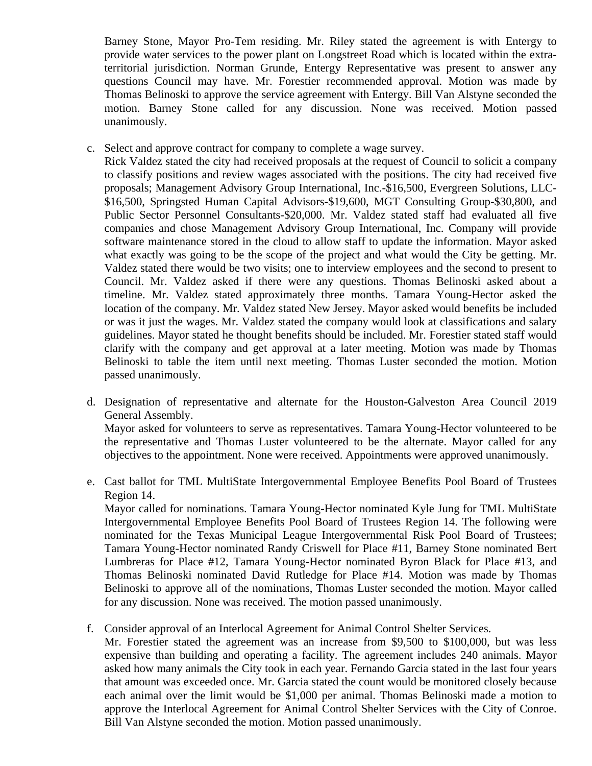Barney Stone, Mayor Pro-Tem residing. Mr. Riley stated the agreement is with Entergy to provide water services to the power plant on Longstreet Road which is located within the extraterritorial jurisdiction. Norman Grunde, Entergy Representative was present to answer any questions Council may have. Mr. Forestier recommended approval. Motion was made by Thomas Belinoski to approve the service agreement with Entergy. Bill Van Alstyne seconded the motion. Barney Stone called for any discussion. None was received. Motion passed unanimously.

c. Select and approve contract for company to complete a wage survey.

Rick Valdez stated the city had received proposals at the request of Council to solicit a company to classify positions and review wages associated with the positions. The city had received five proposals; Management Advisory Group International, Inc.-\$16,500, Evergreen Solutions, LLC- \$16,500, Springsted Human Capital Advisors-\$19,600, MGT Consulting Group-\$30,800, and Public Sector Personnel Consultants-\$20,000. Mr. Valdez stated staff had evaluated all five companies and chose Management Advisory Group International, Inc. Company will provide software maintenance stored in the cloud to allow staff to update the information. Mayor asked what exactly was going to be the scope of the project and what would the City be getting. Mr. Valdez stated there would be two visits; one to interview employees and the second to present to Council. Mr. Valdez asked if there were any questions. Thomas Belinoski asked about a timeline. Mr. Valdez stated approximately three months. Tamara Young-Hector asked the location of the company. Mr. Valdez stated New Jersey. Mayor asked would benefits be included or was it just the wages. Mr. Valdez stated the company would look at classifications and salary guidelines. Mayor stated he thought benefits should be included. Mr. Forestier stated staff would clarify with the company and get approval at a later meeting. Motion was made by Thomas Belinoski to table the item until next meeting. Thomas Luster seconded the motion. Motion passed unanimously.

- d. Designation of representative and alternate for the Houston-Galveston Area Council 2019 General Assembly. Mayor asked for volunteers to serve as representatives. Tamara Young-Hector volunteered to be the representative and Thomas Luster volunteered to be the alternate. Mayor called for any objectives to the appointment. None were received. Appointments were approved unanimously.
- e. Cast ballot for TML MultiState Intergovernmental Employee Benefits Pool Board of Trustees Region 14.

Mayor called for nominations. Tamara Young-Hector nominated Kyle Jung for TML MultiState Intergovernmental Employee Benefits Pool Board of Trustees Region 14. The following were nominated for the Texas Municipal League Intergovernmental Risk Pool Board of Trustees; Tamara Young-Hector nominated Randy Criswell for Place #11, Barney Stone nominated Bert Lumbreras for Place #12, Tamara Young-Hector nominated Byron Black for Place #13, and Thomas Belinoski nominated David Rutledge for Place #14. Motion was made by Thomas Belinoski to approve all of the nominations, Thomas Luster seconded the motion. Mayor called for any discussion. None was received. The motion passed unanimously.

f. Consider approval of an Interlocal Agreement for Animal Control Shelter Services.

Mr. Forestier stated the agreement was an increase from \$9,500 to \$100,000, but was less expensive than building and operating a facility. The agreement includes 240 animals. Mayor asked how many animals the City took in each year. Fernando Garcia stated in the last four years that amount was exceeded once. Mr. Garcia stated the count would be monitored closely because each animal over the limit would be \$1,000 per animal. Thomas Belinoski made a motion to approve the Interlocal Agreement for Animal Control Shelter Services with the City of Conroe. Bill Van Alstyne seconded the motion. Motion passed unanimously.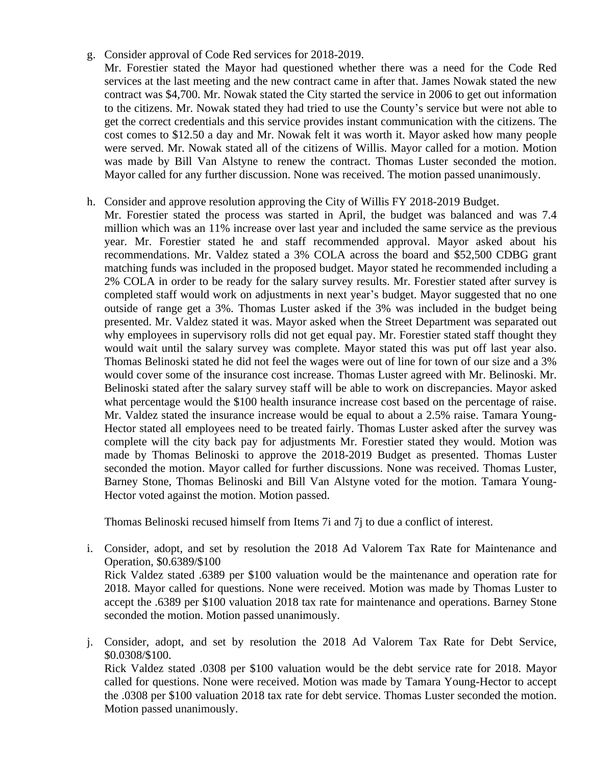- g. Consider approval of Code Red services for 2018-2019.
	- Mr. Forestier stated the Mayor had questioned whether there was a need for the Code Red services at the last meeting and the new contract came in after that. James Nowak stated the new contract was \$4,700. Mr. Nowak stated the City started the service in 2006 to get out information to the citizens. Mr. Nowak stated they had tried to use the County's service but were not able to get the correct credentials and this service provides instant communication with the citizens. The cost comes to \$12.50 a day and Mr. Nowak felt it was worth it. Mayor asked how many people were served. Mr. Nowak stated all of the citizens of Willis. Mayor called for a motion. Motion was made by Bill Van Alstyne to renew the contract. Thomas Luster seconded the motion. Mayor called for any further discussion. None was received. The motion passed unanimously.
- h. Consider and approve resolution approving the City of Willis FY 2018-2019 Budget.
	- Mr. Forestier stated the process was started in April, the budget was balanced and was 7.4 million which was an 11% increase over last year and included the same service as the previous year. Mr. Forestier stated he and staff recommended approval. Mayor asked about his recommendations. Mr. Valdez stated a 3% COLA across the board and \$52,500 CDBG grant matching funds was included in the proposed budget. Mayor stated he recommended including a 2% COLA in order to be ready for the salary survey results. Mr. Forestier stated after survey is completed staff would work on adjustments in next year's budget. Mayor suggested that no one outside of range get a 3%. Thomas Luster asked if the 3% was included in the budget being presented. Mr. Valdez stated it was. Mayor asked when the Street Department was separated out why employees in supervisory rolls did not get equal pay. Mr. Forestier stated staff thought they would wait until the salary survey was complete. Mayor stated this was put off last year also. Thomas Belinoski stated he did not feel the wages were out of line for town of our size and a 3% would cover some of the insurance cost increase. Thomas Luster agreed with Mr. Belinoski. Mr. Belinoski stated after the salary survey staff will be able to work on discrepancies. Mayor asked what percentage would the \$100 health insurance increase cost based on the percentage of raise. Mr. Valdez stated the insurance increase would be equal to about a 2.5% raise. Tamara Young-Hector stated all employees need to be treated fairly. Thomas Luster asked after the survey was complete will the city back pay for adjustments Mr. Forestier stated they would. Motion was made by Thomas Belinoski to approve the 2018-2019 Budget as presented. Thomas Luster seconded the motion. Mayor called for further discussions. None was received. Thomas Luster, Barney Stone, Thomas Belinoski and Bill Van Alstyne voted for the motion. Tamara Young-Hector voted against the motion. Motion passed.

Thomas Belinoski recused himself from Items 7i and 7j to due a conflict of interest.

- i. Consider, adopt, and set by resolution the 2018 Ad Valorem Tax Rate for Maintenance and Operation, \$0.6389/\$100 Rick Valdez stated .6389 per \$100 valuation would be the maintenance and operation rate for 2018. Mayor called for questions. None were received. Motion was made by Thomas Luster to accept the .6389 per \$100 valuation 2018 tax rate for maintenance and operations. Barney Stone seconded the motion. Motion passed unanimously.
- j. Consider, adopt, and set by resolution the 2018 Ad Valorem Tax Rate for Debt Service, \$0.0308/\$100. Rick Valdez stated .0308 per \$100 valuation would be the debt service rate for 2018. Mayor called for questions. None were received. Motion was made by Tamara Young-Hector to accept the .0308 per \$100 valuation 2018 tax rate for debt service. Thomas Luster seconded the motion. Motion passed unanimously.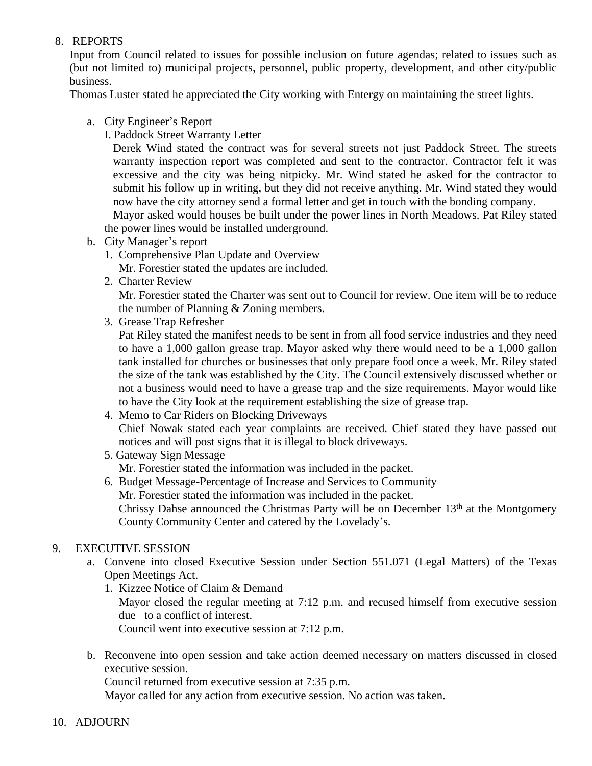# 8. REPORTS

Input from Council related to issues for possible inclusion on future agendas; related to issues such as (but not limited to) municipal projects, personnel, public property, development, and other city/public business.

Thomas Luster stated he appreciated the City working with Entergy on maintaining the street lights.

- a. City Engineer's Report
	- I. Paddock Street Warranty Letter

Derek Wind stated the contract was for several streets not just Paddock Street. The streets warranty inspection report was completed and sent to the contractor. Contractor felt it was excessive and the city was being nitpicky. Mr. Wind stated he asked for the contractor to submit his follow up in writing, but they did not receive anything. Mr. Wind stated they would now have the city attorney send a formal letter and get in touch with the bonding company.

Mayor asked would houses be built under the power lines in North Meadows. Pat Riley stated the power lines would be installed underground.

- b. City Manager's report
	- 1. Comprehensive Plan Update and Overview
	- Mr. Forestier stated the updates are included.
	- 2. Charter Review

Mr. Forestier stated the Charter was sent out to Council for review. One item will be to reduce the number of Planning & Zoning members.

3. Grease Trap Refresher

Pat Riley stated the manifest needs to be sent in from all food service industries and they need to have a 1,000 gallon grease trap. Mayor asked why there would need to be a 1,000 gallon tank installed for churches or businesses that only prepare food once a week. Mr. Riley stated the size of the tank was established by the City. The Council extensively discussed whether or not a business would need to have a grease trap and the size requirements. Mayor would like to have the City look at the requirement establishing the size of grease trap.

4. Memo to Car Riders on Blocking Driveways

Chief Nowak stated each year complaints are received. Chief stated they have passed out notices and will post signs that it is illegal to block driveways.

5. Gateway Sign Message

Mr. Forestier stated the information was included in the packet.

6. Budget Message-Percentage of Increase and Services to Community Mr. Forestier stated the information was included in the packet. Chrissy Dahse announced the Christmas Party will be on December 13<sup>th</sup> at the Montgomery County Community Center and catered by the Lovelady's.

## 9. EXECUTIVE SESSION

- a. Convene into closed Executive Session under Section 551.071 (Legal Matters) of the Texas Open Meetings Act.
	- 1. Kizzee Notice of Claim & Demand Mayor closed the regular meeting at 7:12 p.m. and recused himself from executive session due to a conflict of interest. Council went into executive session at 7:12 p.m.
- b. Reconvene into open session and take action deemed necessary on matters discussed in closed executive session.

Council returned from executive session at 7:35 p.m.

Mayor called for any action from executive session. No action was taken.

### 10. ADJOURN